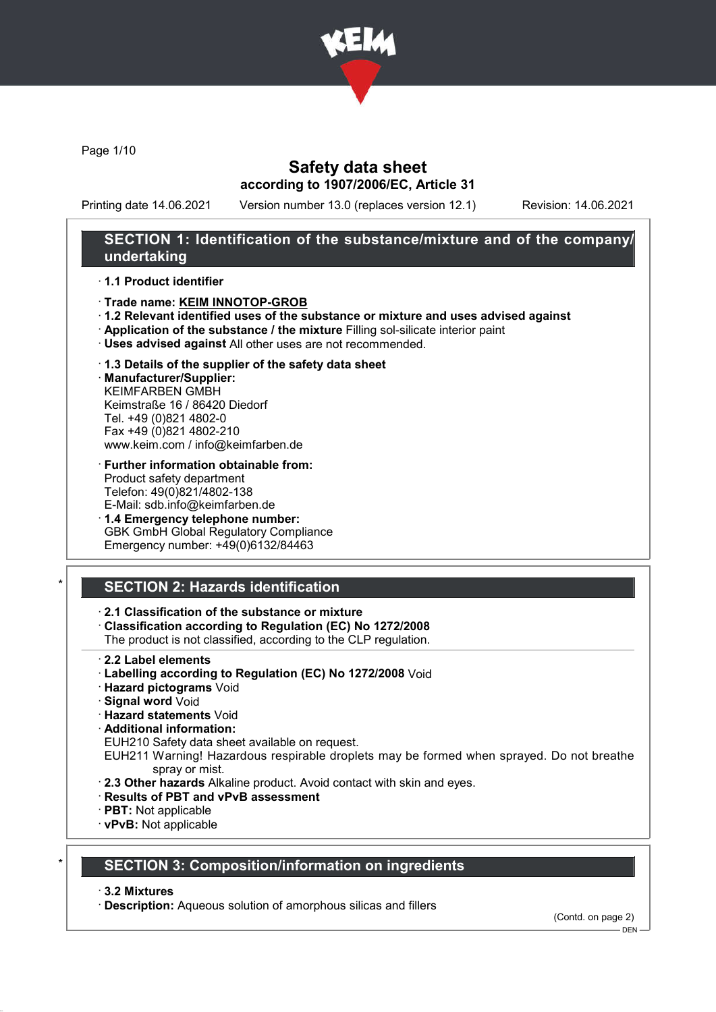

Page 1/10

# Safety data sheet according to 1907/2006/EC, Article 31

Printing date 14.06.2021 Version number 13.0 (replaces version 12.1) Revision: 14.06.2021

## SECTION 1: Identification of the substance/mixture and of the company/ undertaking

### · 1.1 Product identifier

- · Trade name: KEIM INNOTOP-GROB
- · 1.2 Relevant identified uses of the substance or mixture and uses advised against
- · Application of the substance / the mixture Filling sol-silicate interior paint
- · Uses advised against All other uses are not recommended.
- · 1.3 Details of the supplier of the safety data sheet

· Manufacturer/Supplier: KEIMFARBEN GMBH Keimstraße 16 / 86420 Diedorf Tel. +49 (0)821 4802-0 Fax +49 (0)821 4802-210 www.keim.com / info@keimfarben.de

- · Further information obtainable from: Product safety department Telefon: 49(0)821/4802-138 E-Mail: sdb.info@keimfarben.de
- · 1.4 Emergency telephone number: GBK GmbH Global Regulatory Compliance Emergency number: +49(0)6132/84463

# **SECTION 2: Hazards identification**

## · 2.1 Classification of the substance or mixture

· Classification according to Regulation (EC) No 1272/2008

The product is not classified, according to the CLP regulation.

- 2.2 Label elements
- · Labelling according to Regulation (EC) No 1272/2008 Void
- · Hazard pictograms Void
- · Signal word Void
- · Hazard statements Void
- · Additional information:

EUH210 Safety data sheet available on request.

EUH211 Warning! Hazardous respirable droplets may be formed when sprayed. Do not breathe spray or mist.

- · 2.3 Other hazards Alkaline product. Avoid contact with skin and eyes.
- · Results of PBT and vPvB assessment
- · PBT: Not applicable
- · vPvB: Not applicable

## **SECTION 3: Composition/information on ingredients**

### · 3.2 Mixtures

· Description: Aqueous solution of amorphous silicas and fillers

(Contd. on page 2)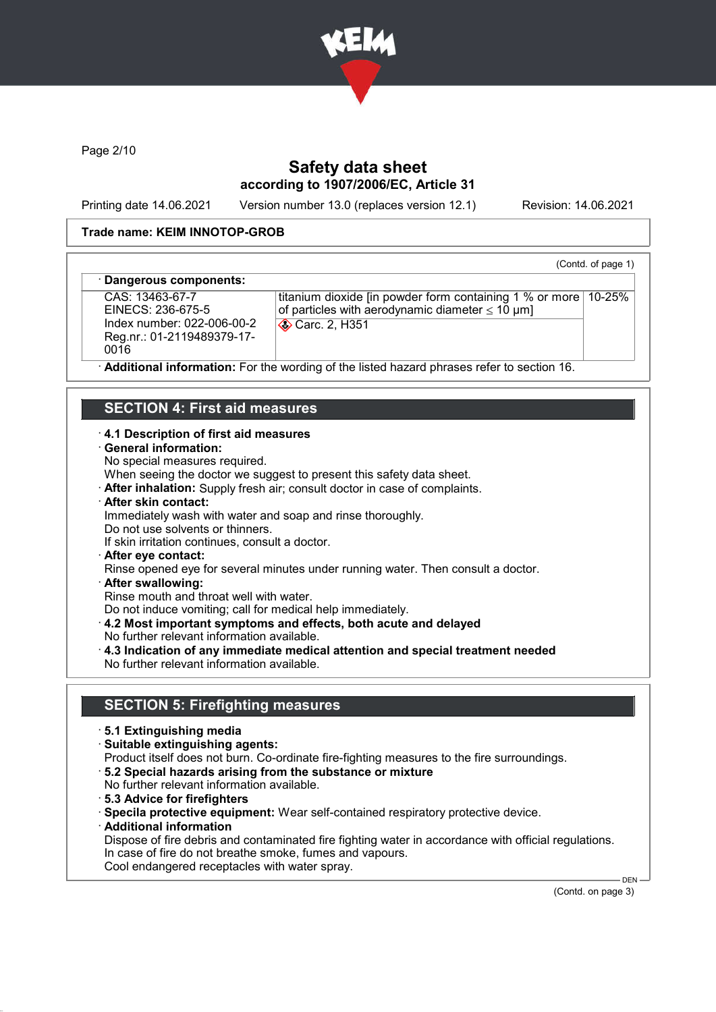

Page 2/10

# Safety data sheet according to 1907/2006/EC, Article 31

Printing date 14.06.2021 Version number 13.0 (replaces version 12.1) Revision: 14.06.2021

(Contd. of page 1)

### Trade name: KEIM INNOTOP-GROB

#### Dangerous components:

CAS: 13463-67-7 EINECS: 236-675-5 Index number: 022-006-00-2 Reg.nr.: 01-2119489379-17- 0016

titanium dioxide [in powder form containing 1 % or more 10-25% of particles with aerodynamic diameter  $\leq 10 \text{ }\mu\text{m}$ ] Carc. 2, H351

Additional information: For the wording of the listed hazard phrases refer to section 16.

## SECTION 4: First aid measures

#### · 4.1 Description of first aid measures

- · General information:
- No special measures required.

When seeing the doctor we suggest to present this safety data sheet.

- · After inhalation: Supply fresh air; consult doctor in case of complaints.
- · After skin contact:
- Immediately wash with water and soap and rinse thoroughly.
- Do not use solvents or thinners.
- If skin irritation continues, consult a doctor.
- · After eye contact:
- Rinse opened eye for several minutes under running water. Then consult a doctor.
- · After swallowing:

Rinse mouth and throat well with water.

Do not induce vomiting; call for medical help immediately.

- · 4.2 Most important symptoms and effects, both acute and delayed
- No further relevant information available.
- · 4.3 Indication of any immediate medical attention and special treatment needed No further relevant information available.

## SECTION 5: Firefighting measures

- · 5.1 Extinguishing media
- · Suitable extinguishing agents:
- Product itself does not burn. Co-ordinate fire-fighting measures to the fire surroundings.
- · 5.2 Special hazards arising from the substance or mixture
- No further relevant information available.
- · 5.3 Advice for firefighters
- · Specila protective equipment: Wear self-contained respiratory protective device.
- · Additional information

Dispose of fire debris and contaminated fire fighting water in accordance with official regulations. In case of fire do not breathe smoke, fumes and vapours. Cool endangered receptacles with water spray.

(Contd. on page 3)

DEN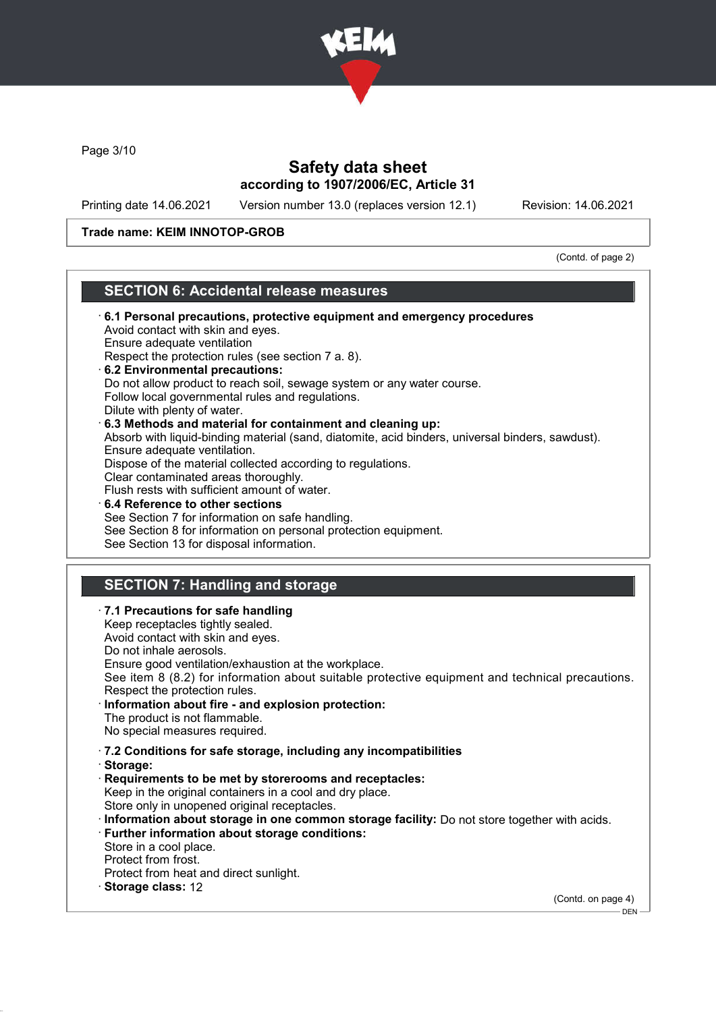

Page 3/10

# Safety data sheet according to 1907/2006/EC, Article 31

Printing date 14.06.2021 Version number 13.0 (replaces version 12.1) Revision: 14.06.2021

### Trade name: KEIM INNOTOP-GROB

(Contd. of page 2)

## SECTION 6: Accidental release measures

| 6.1 Personal precautions, protective equipment and emergency procedures                                                                                                                                                              |  |
|--------------------------------------------------------------------------------------------------------------------------------------------------------------------------------------------------------------------------------------|--|
| Avoid contact with skin and eyes.                                                                                                                                                                                                    |  |
| Ensure adequate ventilation                                                                                                                                                                                                          |  |
| Respect the protection rules (see section 7 a. 8).                                                                                                                                                                                   |  |
| 6.2 Environmental precautions:                                                                                                                                                                                                       |  |
| Do not allow product to reach soil, sewage system or any water course.                                                                                                                                                               |  |
| Follow local governmental rules and regulations.                                                                                                                                                                                     |  |
| Dilute with plenty of water.                                                                                                                                                                                                         |  |
| 6.3 Methods and material for containment and cleaning up:                                                                                                                                                                            |  |
| Absorb with liquid-binding material (sand, diatomite, acid binders, universal binders, sawdust).                                                                                                                                     |  |
| Ensure adequate ventilation.                                                                                                                                                                                                         |  |
| Dispose of the material collected according to regulations.                                                                                                                                                                          |  |
| Clear contaminated areas thoroughly.                                                                                                                                                                                                 |  |
| Flush rests with sufficient amount of water.                                                                                                                                                                                         |  |
| 6.4 Reference to other sections                                                                                                                                                                                                      |  |
| See Section 7 for information on safe handling.                                                                                                                                                                                      |  |
| See Section 8 for information on personal protection equipment.                                                                                                                                                                      |  |
| See Section 13 for disposal information.                                                                                                                                                                                             |  |
|                                                                                                                                                                                                                                      |  |
|                                                                                                                                                                                                                                      |  |
| <b>SECTION 7: Handling and storage</b>                                                                                                                                                                                               |  |
|                                                                                                                                                                                                                                      |  |
| · 7.1 Precautions for safe handling                                                                                                                                                                                                  |  |
| Keep receptacles tightly sealed.                                                                                                                                                                                                     |  |
| Avoid contact with skin and eyes.                                                                                                                                                                                                    |  |
| Do not inhale aerosols.                                                                                                                                                                                                              |  |
| Ensure good ventilation/exhaustion at the workplace.                                                                                                                                                                                 |  |
| See item 8 (8.2) for information about suitable protective equipment and technical precautions.                                                                                                                                      |  |
| Respect the protection rules.                                                                                                                                                                                                        |  |
| · Information about fire - and explosion protection:                                                                                                                                                                                 |  |
| The product is not flammable.                                                                                                                                                                                                        |  |
| <b>All the contract of the contract of the contract of the contract of the contract of the contract of the contract of the contract of the contract of the contract of the contract of the contract of the contract of the contr</b> |  |

- No special measures required.
- · 7.2 Conditions for safe storage, including any incompatibilities
- · Storage:
- · Requirements to be met by storerooms and receptacles: Keep in the original containers in a cool and dry place. Store only in unopened original receptacles.
- · Information about storage in one common storage facility: Do not store together with acids.
- · Further information about storage conditions:
- Store in a cool place.
- Protect from frost.
- Protect from heat and direct sunlight.
- · Storage class: 12

(Contd. on page 4)

 $-$  DEN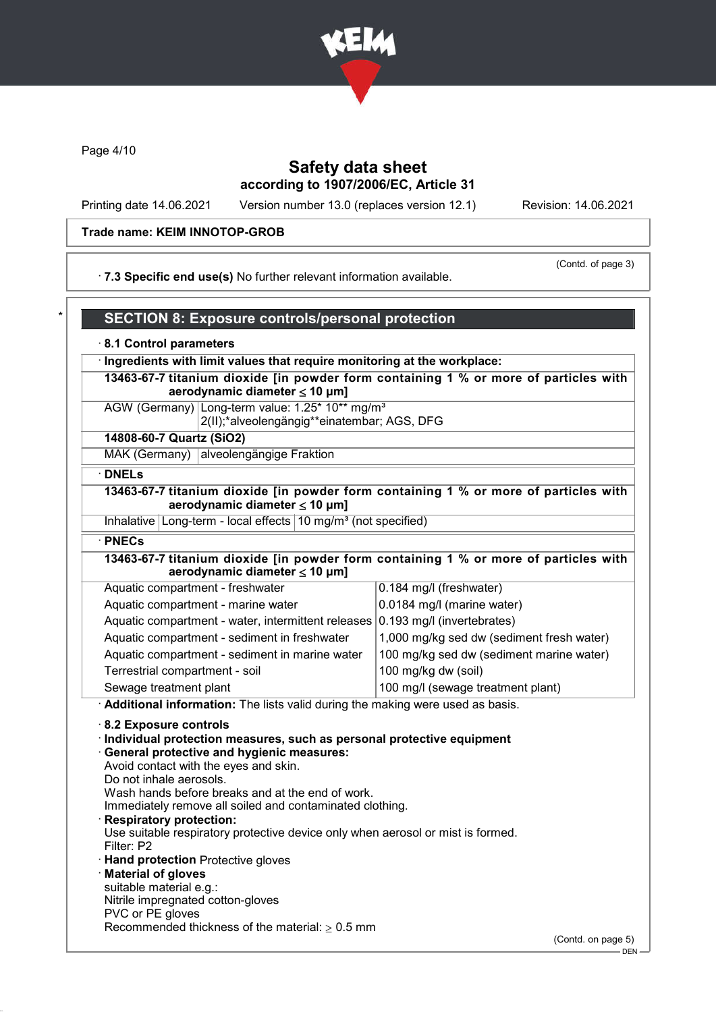

Page 4/10

# Safety data sheet according to 1907/2006/EC, Article 31

Printing date 14.06.2021 Version number 13.0 (replaces version 12.1) Revision: 14.06.2021

# Trade name: KEIM INNOTOP-GROB

(Contd. of page 3)

· 7.3 Specific end use(s) No further relevant information available.

| <b>SECTION 8: Exposure controls/personal protection</b>                                                                                                                                                                                                                                                                                                                                                                                                                                                                                                                                                            |                                           |
|--------------------------------------------------------------------------------------------------------------------------------------------------------------------------------------------------------------------------------------------------------------------------------------------------------------------------------------------------------------------------------------------------------------------------------------------------------------------------------------------------------------------------------------------------------------------------------------------------------------------|-------------------------------------------|
| 8.1 Control parameters                                                                                                                                                                                                                                                                                                                                                                                                                                                                                                                                                                                             |                                           |
| Ingredients with limit values that require monitoring at the workplace:                                                                                                                                                                                                                                                                                                                                                                                                                                                                                                                                            |                                           |
| 13463-67-7 titanium dioxide [in powder form containing 1 % or more of particles with<br>aerodynamic diameter $\leq 10$ µm]                                                                                                                                                                                                                                                                                                                                                                                                                                                                                         |                                           |
| AGW (Germany) Long-term value: 1.25* 10** mg/m <sup>3</sup><br>2(II);*alveolengängig**einatembar; AGS, DFG                                                                                                                                                                                                                                                                                                                                                                                                                                                                                                         |                                           |
| 14808-60-7 Quartz (SiO2)                                                                                                                                                                                                                                                                                                                                                                                                                                                                                                                                                                                           |                                           |
| MAK (Germany) alveolengängige Fraktion                                                                                                                                                                                                                                                                                                                                                                                                                                                                                                                                                                             |                                           |
| <b>DNELs</b>                                                                                                                                                                                                                                                                                                                                                                                                                                                                                                                                                                                                       |                                           |
| 13463-67-7 titanium dioxide [in powder form containing 1 % or more of particles with<br>aerodynamic diameter $\leq 10$ µm]                                                                                                                                                                                                                                                                                                                                                                                                                                                                                         |                                           |
| Inhalative Long-term - local effects 10 mg/m <sup>3</sup> (not specified)                                                                                                                                                                                                                                                                                                                                                                                                                                                                                                                                          |                                           |
| · PNECs                                                                                                                                                                                                                                                                                                                                                                                                                                                                                                                                                                                                            |                                           |
| 13463-67-7 titanium dioxide [in powder form containing 1 % or more of particles with<br>aerodynamic diameter $\leq 10$ µm]                                                                                                                                                                                                                                                                                                                                                                                                                                                                                         |                                           |
| Aquatic compartment - freshwater                                                                                                                                                                                                                                                                                                                                                                                                                                                                                                                                                                                   | 0.184 mg/l (freshwater)                   |
| Aquatic compartment - marine water                                                                                                                                                                                                                                                                                                                                                                                                                                                                                                                                                                                 | 0.0184 mg/l (marine water)                |
| Aquatic compartment - water, intermittent releases                                                                                                                                                                                                                                                                                                                                                                                                                                                                                                                                                                 | 0.193 mg/l (invertebrates)                |
| Aquatic compartment - sediment in freshwater                                                                                                                                                                                                                                                                                                                                                                                                                                                                                                                                                                       | 1,000 mg/kg sed dw (sediment fresh water) |
| Aquatic compartment - sediment in marine water                                                                                                                                                                                                                                                                                                                                                                                                                                                                                                                                                                     | 100 mg/kg sed dw (sediment marine water)  |
| Terrestrial compartment - soil                                                                                                                                                                                                                                                                                                                                                                                                                                                                                                                                                                                     | 100 mg/kg dw (soil)                       |
| Sewage treatment plant                                                                                                                                                                                                                                                                                                                                                                                                                                                                                                                                                                                             | 100 mg/l (sewage treatment plant)         |
| Additional information: The lists valid during the making were used as basis.                                                                                                                                                                                                                                                                                                                                                                                                                                                                                                                                      |                                           |
| 8.2 Exposure controls<br>Individual protection measures, such as personal protective equipment<br><b>General protective and hygienic measures:</b><br>Avoid contact with the eyes and skin.<br>Do not inhale aerosols.<br>Wash hands before breaks and at the end of work.<br>Immediately remove all soiled and contaminated clothing.<br><b>Respiratory protection:</b><br>Use suitable respiratory protective device only when aerosol or mist is formed.<br>Filter: P2<br><b>Hand protection Protective gloves</b><br><b>Material of gloves</b><br>suitable material e.g.:<br>Nitrile impregnated cotton-gloves |                                           |
| PVC or PE gloves<br>Recommended thickness of the material: $\geq 0.5$ mm                                                                                                                                                                                                                                                                                                                                                                                                                                                                                                                                           |                                           |
|                                                                                                                                                                                                                                                                                                                                                                                                                                                                                                                                                                                                                    | (Contd. on page 5)                        |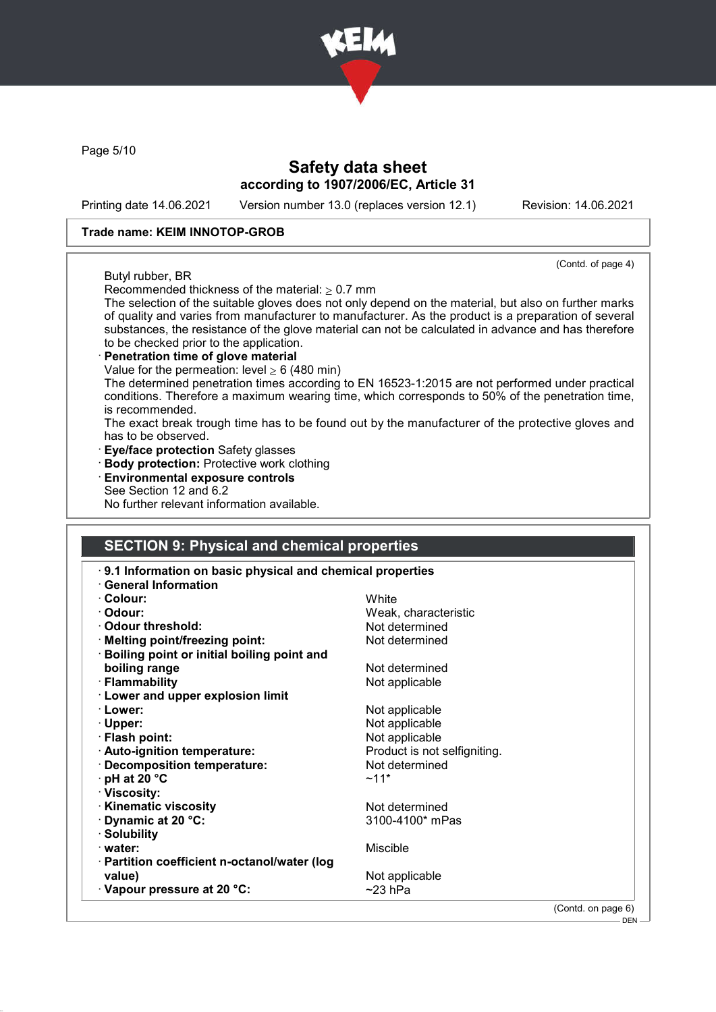

Page 5/10

# Safety data sheet according to 1907/2006/EC, Article 31

Printing date 14.06.2021 Version number 13.0 (replaces version 12.1) Revision: 14.06.2021

(Contd. of page 4)

- DEN

### Trade name: KEIM INNOTOP-GROB

### Butyl rubber, BR

Recommended thickness of the material:  $> 0.7$  mm

The selection of the suitable gloves does not only depend on the material, but also on further marks of quality and varies from manufacturer to manufacturer. As the product is a preparation of several substances, the resistance of the glove material can not be calculated in advance and has therefore to be checked prior to the application.

### Penetration time of glove material

Value for the permeation: level  $\geq 6$  (480 min)

The determined penetration times according to EN 16523-1:2015 are not performed under practical conditions. Therefore a maximum wearing time, which corresponds to 50% of the penetration time, is recommended.

The exact break trough time has to be found out by the manufacturer of the protective gloves and has to be observed.

- · Eye/face protection Safety glasses
- · Body protection: Protective work clothing
- · Environmental exposure controls
- See Section 12 and 6.2

No further relevant information available.

## SECTION 9: Physical and chemical properties

| 9.1 Information on basic physical and chemical properties |                              |                    |
|-----------------------------------------------------------|------------------------------|--------------------|
| <b>General Information</b>                                |                              |                    |
| · Colour:                                                 | White                        |                    |
| · Odour:                                                  | Weak, characteristic         |                    |
| Odour threshold:                                          | Not determined               |                    |
| · Melting point/freezing point:                           | Not determined               |                    |
| · Boiling point or initial boiling point and              |                              |                    |
| boiling range                                             | Not determined               |                    |
| · Flammability                                            | Not applicable               |                    |
| <b>Lower and upper explosion limit</b>                    |                              |                    |
| · Lower:                                                  | Not applicable               |                    |
| $\cdot$ Upper:                                            | Not applicable               |                    |
| · Flash point:                                            | Not applicable               |                    |
| · Auto-ignition temperature:                              | Product is not selfigniting. |                    |
| · Decomposition temperature:                              | Not determined               |                    |
| $\cdot$ pH at 20 $\degree$ C                              | $~11*$                       |                    |
| · Viscosity:                                              |                              |                    |
| · Kinematic viscosity                                     | Not determined               |                    |
| Dynamic at 20 °C:                                         | 3100-4100* mPas              |                    |
| · Solubility                                              |                              |                    |
| · water:                                                  | <b>Miscible</b>              |                    |
| · Partition coefficient n-octanol/water (log              |                              |                    |
| value)                                                    | Not applicable               |                    |
| $\cdot$ Vapour pressure at 20 °C:                         | $~23$ hPa                    |                    |
|                                                           |                              | (Contd. on page 6) |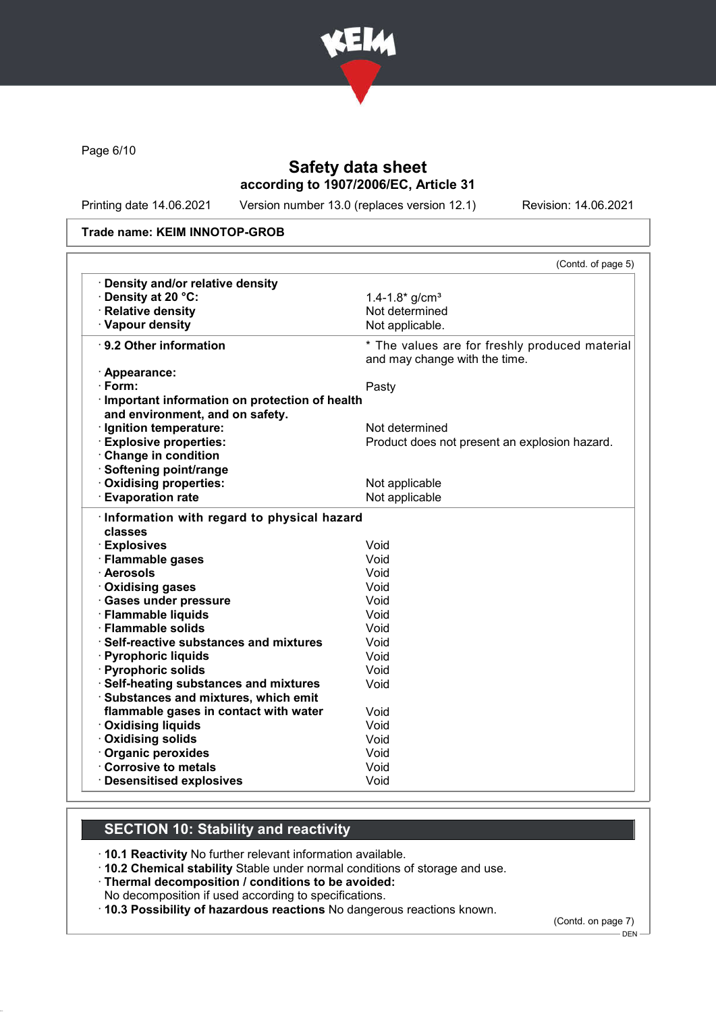

Page 6/10

# Safety data sheet according to 1907/2006/EC, Article 31

Printing date 14.06.2021 Version number 13.0 (replaces version 12.1) Revision: 14.06.2021

#### Trade name: KEIM INNOTOP-GROB

|                                                                                    | (Contd. of page 5)                                                              |
|------------------------------------------------------------------------------------|---------------------------------------------------------------------------------|
| <b>Density and/or relative density</b>                                             |                                                                                 |
| · Density at 20 °C:                                                                | 1.4-1.8* $g/cm3$                                                                |
| · Relative density                                                                 | Not determined                                                                  |
| · Vapour density                                                                   | Not applicable.                                                                 |
| $\cdot$ 9.2 Other information                                                      | * The values are for freshly produced material<br>and may change with the time. |
| · Appearance:                                                                      |                                                                                 |
| $\cdot$ Form:                                                                      | Pasty                                                                           |
| · Important information on protection of health<br>and environment, and on safety. |                                                                                 |
| · Ignition temperature:                                                            | Not determined                                                                  |
| <b>Explosive properties:</b>                                                       | Product does not present an explosion hazard.                                   |
| Change in condition                                                                |                                                                                 |
| · Softening point/range                                                            |                                                                                 |
| Oxidising properties:                                                              | Not applicable                                                                  |
| <b>Evaporation rate</b>                                                            | Not applicable                                                                  |
| Information with regard to physical hazard<br>classes                              |                                                                                 |
| · Explosives                                                                       | Void                                                                            |
| · Flammable gases                                                                  | Void                                                                            |
| · Aerosols                                                                         | Void                                                                            |
| Oxidising gases                                                                    | Void                                                                            |
| · Gases under pressure                                                             | Void                                                                            |
| · Flammable liquids                                                                | Void                                                                            |
| · Flammable solids                                                                 | Void                                                                            |
| · Self-reactive substances and mixtures                                            | Void                                                                            |
| · Pyrophoric liquids                                                               | Void                                                                            |
| · Pyrophoric solids                                                                | Void                                                                            |
| · Self-heating substances and mixtures                                             | Void                                                                            |
| · Substances and mixtures, which emit                                              |                                                                                 |
| flammable gases in contact with water                                              | Void                                                                            |
| <b>Oxidising liquids</b>                                                           | Void                                                                            |
| Oxidising solids                                                                   | Void                                                                            |
| Organic peroxides                                                                  | Void                                                                            |
| <b>Corrosive to metals</b>                                                         | Void                                                                            |
| <b>Desensitised explosives</b>                                                     | Void                                                                            |

# SECTION 10: Stability and reactivity

· 10.1 Reactivity No further relevant information available.

· 10.2 Chemical stability Stable under normal conditions of storage and use.

· Thermal decomposition / conditions to be avoided:

No decomposition if used according to specifications.

· 10.3 Possibility of hazardous reactions No dangerous reactions known.

(Contd. on page 7)

DEN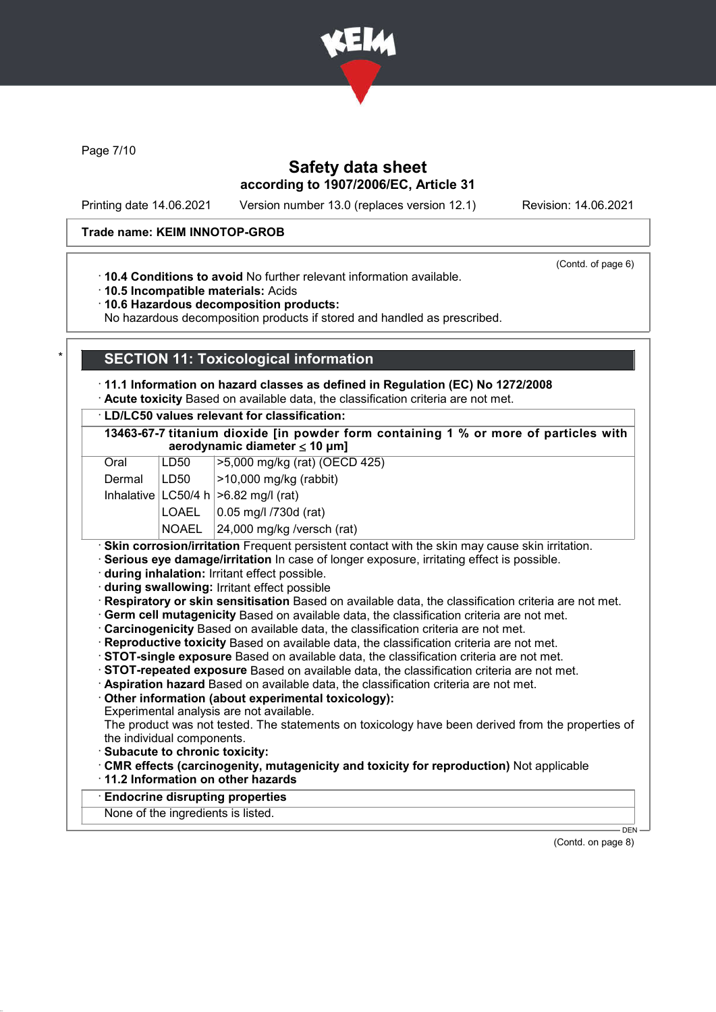

Page 7/10

# Safety data sheet according to 1907/2006/EC, Article 31

Printing date 14.06.2021 Version number 13.0 (replaces version 12.1) Revision: 14.06.2021

### Trade name: KEIM INNOTOP-GROB

(Contd. of page 6)

· 10.4 Conditions to avoid No further relevant information available.

· 10.5 Incompatible materials: Acids

· 10.6 Hazardous decomposition products:

No hazardous decomposition products if stored and handled as prescribed.

## **SECTION 11: Toxicological information**

· 11.1 Information on hazard classes as defined in Regulation (EC) No 1272/2008

· Acute toxicity Based on available data, the classification criteria are not met.

· LD/LC50 values relevant for classification:

|                                        | 13463-67-7 titanium dioxide [in powder form containing 1 % or more of particles with |  |
|----------------------------------------|--------------------------------------------------------------------------------------|--|
| aerodynamic diameter $\leq 10 \mu m$ ] |                                                                                      |  |
|                                        |                                                                                      |  |

| Oral   | LD50  | >5,000 mg/kg (rat) (OECD 425)               |
|--------|-------|---------------------------------------------|
| Dermal | LD50  | $ >$ 10,000 mg/kg (rabbit)                  |
|        |       | Inhalative $ LC50/4 h  > 6.82 mg/l$ (rat)   |
|        |       | $\vert$ LOAEL $\vert$ 0.05 mg/l /730d (rat) |
|        | NOAEL | $24,000$ mg/kg /versch (rat)                |

· Skin corrosion/irritation Frequent persistent contact with the skin may cause skin irritation.

· Serious eye damage/irritation In case of longer exposure, irritating effect is possible.

· during inhalation: Irritant effect possible.

· during swallowing: Irritant effect possible

· Respiratory or skin sensitisation Based on available data, the classification criteria are not met.

· Germ cell mutagenicity Based on available data, the classification criteria are not met.

- · Carcinogenicity Based on available data, the classification criteria are not met.
- · Reproductive toxicity Based on available data, the classification criteria are not met.
- · STOT-single exposure Based on available data, the classification criteria are not met.
- · STOT-repeated exposure Based on available data, the classification criteria are not met.
- · Aspiration hazard Based on available data, the classification criteria are not met.
- · Other information (about experimental toxicology):
- Experimental analysis are not available.

The product was not tested. The statements on toxicology have been derived from the properties of the individual components.

- · Subacute to chronic toxicity:
- · CMR effects (carcinogenity, mutagenicity and toxicity for reproduction) Not applicable
- · 11.2 Information on other hazards

**Endocrine disrupting properties** 

None of the ingredients is listed.

(Contd. on page 8)

DEN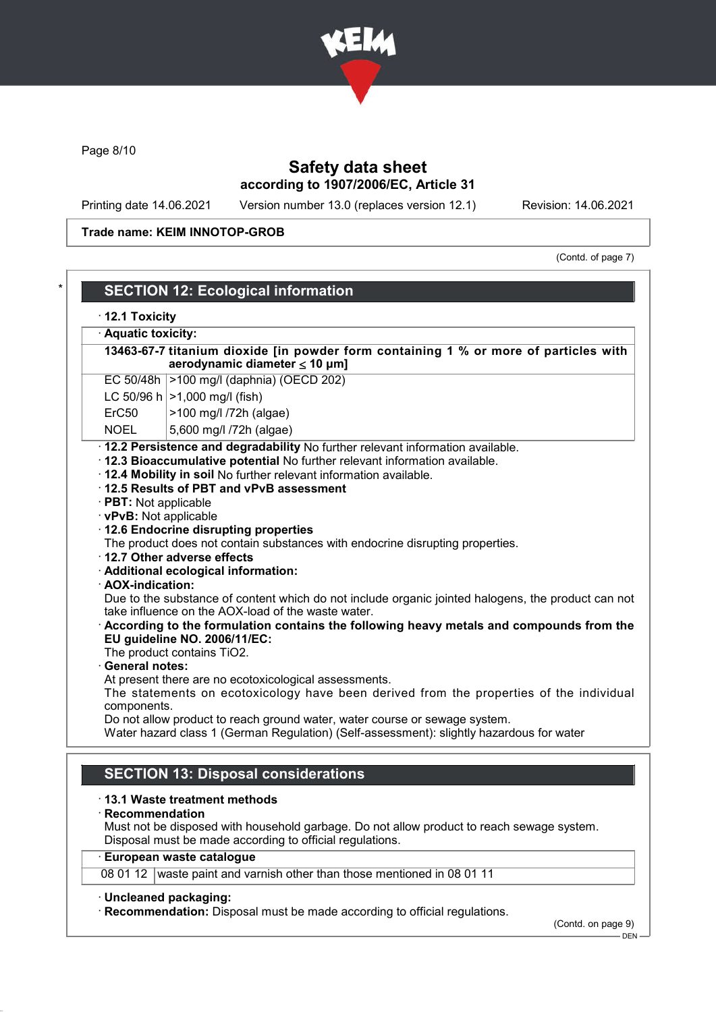

Page 8/10

# Safety data sheet according to 1907/2006/EC, Article 31

Printing date 14.06.2021 Version number 13.0 (replaces version 12.1) Revision: 14.06.2021

Trade name: KEIM INNOTOP-GROB

(Contd. of page 7)

DEN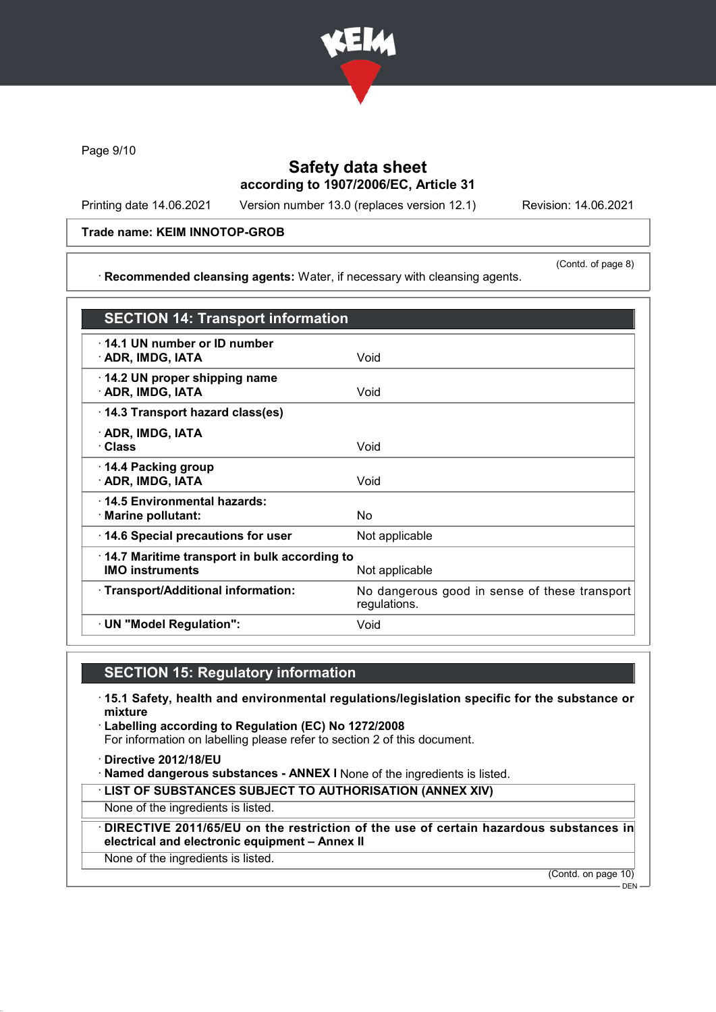

Page 9/10

# Safety data sheet according to 1907/2006/EC, Article 31

Printing date 14.06.2021 Version number 13.0 (replaces version 12.1) Revision: 14.06.2021

### Trade name: KEIM INNOTOP-GROB

· Recommended cleansing agents: Water, if necessary with cleansing agents.

(Contd. of page 8)

| <b>SECTION 14: Transport information</b>                               |                                                               |
|------------------------------------------------------------------------|---------------------------------------------------------------|
| 14.1 UN number or ID number<br>· ADR, IMDG, IATA                       | Void                                                          |
| 14.2 UN proper shipping name<br>· ADR, IMDG, IATA                      | Void                                                          |
| 14.3 Transport hazard class(es)                                        |                                                               |
| · ADR, IMDG, IATA<br>· Class                                           | Void                                                          |
| 14.4 Packing group<br>· ADR, IMDG, IATA                                | Void                                                          |
| : 14.5 Environmental hazards:<br>· Marine pollutant:                   | No                                                            |
| 14.6 Special precautions for user                                      | Not applicable                                                |
| 14.7 Maritime transport in bulk according to<br><b>IMO instruments</b> | Not applicable                                                |
| · Transport/Additional information:                                    | No dangerous good in sense of these transport<br>regulations. |
| · UN "Model Regulation":                                               | Void                                                          |
|                                                                        |                                                               |

# SECTION 15: Regulatory information

- · 15.1 Safety, health and environmental regulations/legislation specific for the substance or mixture
- · Labelling according to Regulation (EC) No 1272/2008 For information on labelling please refer to section 2 of this document.
- · Directive 2012/18/EU
- · Named dangerous substances ANNEX I None of the ingredients is listed.
- · LIST OF SUBSTANCES SUBJECT TO AUTHORISATION (ANNEX XIV)

None of the ingredients is listed.

- · DIRECTIVE 2011/65/EU on the restriction of the use of certain hazardous substances in electrical and electronic equipment – Annex II
- None of the ingredients is listed.

(Contd. on page 10)

 $-$  DEN